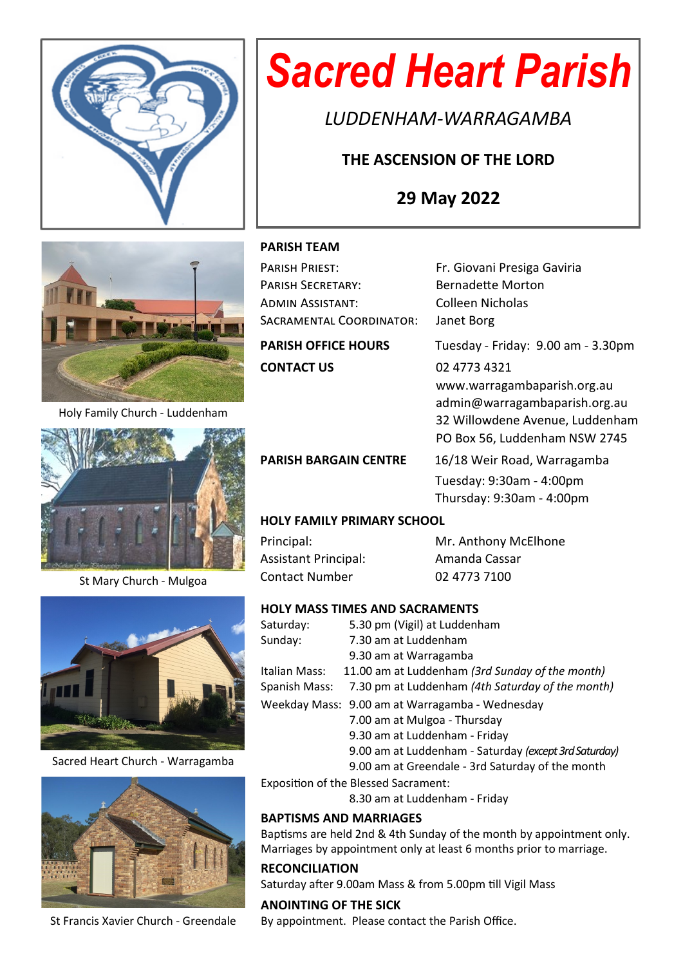

# *Sacred Heart Parish*

*LUDDENHAM-WARRAGAMBA*

# **THE ASCENSION OF THE LORD**

# **29 May 2022**



Holy Family Church - Luddenham



St Mary Church - Mulgoa



Sacred Heart Church - Warragamba



St Francis Xavier Church - Greendale

# **PARISH TEAM**

| PARISH PRIEST:             | Fr. Giovani Presiga Gaviria        |  |  |  |
|----------------------------|------------------------------------|--|--|--|
| <b>PARISH SECRETARY:</b>   | <b>Bernadette Morton</b>           |  |  |  |
| ADMIN ASSISTANT:           | Colleen Nicholas                   |  |  |  |
| SACRAMENTAL COORDINATOR:   | Janet Borg                         |  |  |  |
| <b>PARISH OFFICE HOURS</b> | Tuesday - Friday: 9.00 am - 3.30pm |  |  |  |
| <b>CONTACT US</b>          | 02 4773 4321                       |  |  |  |
|                            | www.warragambaparish.org.au        |  |  |  |
|                            | admin@warragambaparish.org.au      |  |  |  |
|                            | 32 Willowdene Avenue, Luddenham    |  |  |  |
|                            |                                    |  |  |  |

PO Box 56, Luddenham NSW 2745 PARISH BARGAIN CENTRE 16/18 Weir Road, Warragamba Tuesday: 9:30am - 4:00pm Thursday: 9:30am - 4:00pm

# **HOLY FAMILY PRIMARY SCHOOL**

Assistant Principal: Amanda Cassar Contact Number 02 4773 7100

Principal: Mr. Anthony McElhone

# **HOLY MASS TIMES AND SACRAMENTS**

| Saturday:     | 5.30 pm (Vigil) at Luddenham                          |
|---------------|-------------------------------------------------------|
| Sunday:       | 7.30 am at Luddenham                                  |
|               | 9.30 am at Warragamba                                 |
| Italian Mass: | 11.00 am at Luddenham (3rd Sunday of the month)       |
| Spanish Mass: | 7.30 pm at Luddenham (4th Saturday of the month)      |
|               | Weekday Mass: 9.00 am at Warragamba - Wednesday       |
|               | 7.00 am at Mulgoa - Thursday                          |
|               | 9.30 am at Luddenham - Friday                         |
|               | 9.00 am at Luddenham - Saturday (except 3rd Saturday) |
|               | 9.00 am at Greendale - 3rd Saturday of the month      |

Exposition of the Blessed Sacrament:

8.30 am at Luddenham - Friday

# **BAPTISMS AND MARRIAGES**

Baptisms are held 2nd & 4th Sunday of the month by appointment only. Marriages by appointment only at least 6 months prior to marriage.

# **RECONCILIATION**

Saturday after 9.00am Mass & from 5.00pm till Vigil Mass

**ANOINTING OF THE SICK** By appointment. Please contact the Parish Office.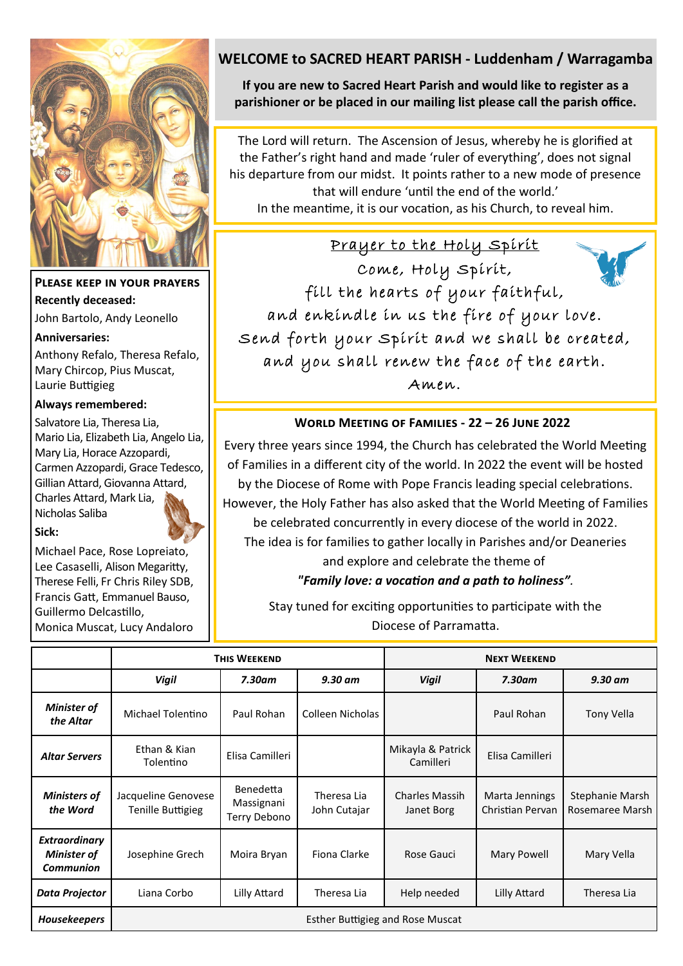

# **Please keep in your prayers Recently deceased:**

John Bartolo, Andy Leonello

### **Anniversaries:**

Anthony Refalo, Theresa Refalo, Mary Chircop, Pius Muscat, Laurie Buttigieg

# **Always remembered:**

Salvatore Lia, Theresa Lia, Mario Lia, Elizabeth Lia, Angelo Lia, Mary Lia, Horace Azzopardi, Carmen Azzopardi, Grace Tedesco, Gillian Attard, Giovanna Attard, Charles Attard, Mark Lia, Nicholas Saliba



Michael Pace, Rose Lopreiato, Lee Casaselli, Alison Megaritty, Therese Felli, Fr Chris Riley SDB, Francis Gatt, Emmanuel Bauso, Guillermo Delcastillo, Monica Muscat, Lucy Andaloro

# **WELCOME to SACRED HEART PARISH - Luddenham / Warragamba**

**If you are new to Sacred Heart Parish and would like to register as a parishioner or be placed in our mailing list please call the parish office.**

The Lord will return. The Ascension of Jesus, whereby he is glorified at the Father's right hand and made 'ruler of everything', does not signal his departure from our midst. It points rather to a new mode of presence that will endure 'until the end of the world.' In the meantime, it is our vocation, as his Church, to reveal him.

Prayer to the Holy Spirit Come, Holy Spirit, fill the hearts of your faithful, and enkindle in us the fire of your love. Send forth your Spirit and we shall be created, and you shall renew the face of the earth. Amen.

# **World Meeting of Families - 22 – 26 June 2022**

Every three years since 1994, the Church has celebrated the World Meeting of Families in a different city of the world. In 2022 the event will be hosted by the Diocese of Rome with Pope Francis leading special celebrations. However, the Holy Father has also asked that the World Meeting of Families be celebrated concurrently in every diocese of the world in 2022.

The idea is for families to gather locally in Parishes and/or Deaneries

# and explore and celebrate the theme of  *"Family love: a vocation and a path to holiness".*

Stay tuned for exciting opportunities to participate with the Diocese of Parramatta.

|                                                                | <b>THIS WEEKEND</b>                      |                                                |                             | <b>NEXT WEEKEND</b>                 |                                    |                                    |  |  |
|----------------------------------------------------------------|------------------------------------------|------------------------------------------------|-----------------------------|-------------------------------------|------------------------------------|------------------------------------|--|--|
|                                                                | <b>Vigil</b>                             | $7.30$ am                                      | $9.30$ am                   | <b>Vigil</b>                        | $7.30$ am                          | 9.30 am                            |  |  |
| <b>Minister of</b><br>the Altar                                | Michael Tolentino                        | Paul Rohan                                     | Colleen Nicholas            |                                     | Paul Rohan                         | <b>Tony Vella</b>                  |  |  |
| <b>Altar Servers</b>                                           | Ethan & Kian<br>Tolentino                | Elisa Camilleri                                |                             | Mikayla & Patrick<br>Camilleri      | Elisa Camilleri                    |                                    |  |  |
| <b>Ministers of</b><br>the Word                                | Jacqueline Genovese<br>Tenille Buttigieg | <b>Benedetta</b><br>Massignani<br>Terry Debono | Theresa Lia<br>John Cutajar | <b>Charles Massih</b><br>Janet Borg | Marta Jennings<br>Christian Pervan | Stephanie Marsh<br>Rosemaree Marsh |  |  |
| <b>Extraordinary</b><br><b>Minister of</b><br><b>Communion</b> | Josephine Grech                          | Moira Bryan                                    | Fiona Clarke                | Rose Gauci                          | Mary Powell                        | Mary Vella                         |  |  |
| Data Projector                                                 | Liana Corbo                              | Lilly Attard                                   | Theresa Lia                 | Help needed                         | Lilly Attard                       | Theresa Lia                        |  |  |
| <b>Housekeepers</b>                                            | <b>Esther Buttigieg and Rose Muscat</b>  |                                                |                             |                                     |                                    |                                    |  |  |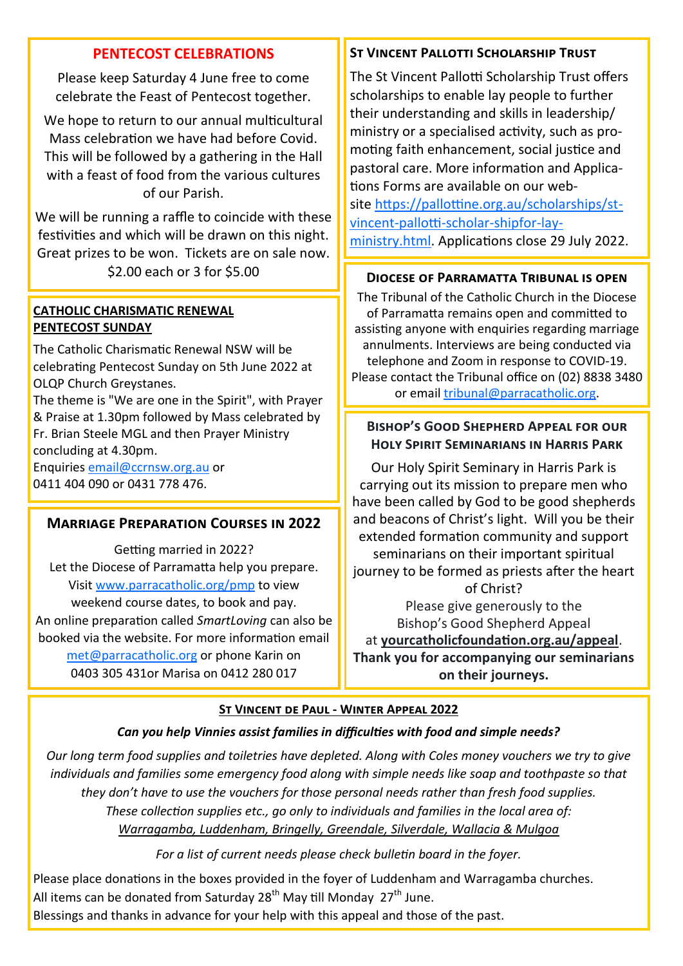# **PENTECOST CELEBRATIONS**

Please keep Saturday 4 June free to come celebrate the Feast of Pentecost together.

We hope to return to our annual multicultural Mass celebration we have had before Covid. This will be followed by a gathering in the Hall with a feast of food from the various cultures of our Parish.

We will be running a raffle to coincide with these festivities and which will be drawn on this night. Great prizes to be won. Tickets are on sale now. \$2.00 each or 3 for \$5.00 **Diocese of Parramatta Tribunal is open**

# **CATHOLIC CHARISMATIC RENEWAL PENTECOST SUNDAY**

The Catholic Charismatic Renewal NSW will be celebrating Pentecost Sunday on 5th June 2022 at OLQP Church Greystanes.

The theme is "We are one in the Spirit", with Prayer & Praise at 1.30pm followed by Mass celebrated by Fr. Brian Steele MGL and then Prayer Ministry concluding at 4.30pm.

Enquiries [email@ccrnsw.org.au](mailto:email@ccrnsw.org.au) or 0411 404 090 or 0431 778 476.

# **Marriage Preparation Courses in 2022**

Getting married in 2022? Let the Diocese of Parramatta help you prepare. Visit [www.parracatholic.org/pmp](http://www.parracatholic.org/pmp) to view weekend course dates, to book and pay. An online preparation called *SmartLoving* can also be booked via the website. For more information email [met@parracatholic.org](mailto:met@parracatholic.org) or phone Karin on 0403 305 431or Marisa on 0412 280 017

# **ST VINCENT PALLOTTI SCHOLARSHIP TRUST**

The St Vincent Pallotti Scholarship Trust offers scholarships to enable lay people to further their understanding and skills in leadership/ ministry or a specialised activity, such as promoting faith enhancement, social justice and pastoral care. More information and Applications Forms are available on our website [https://pallottine.org.au/scholarships/st](https://pallottine.org.au/scholarships/st-vincent-pallotti-scholar-shipfor-lay-ministry.html)[vincent](https://pallottine.org.au/scholarships/st-vincent-pallotti-scholar-shipfor-lay-ministry.html)-pallotti-scholar-shipfor-lay[ministry.html.](https://pallottine.org.au/scholarships/st-vincent-pallotti-scholar-shipfor-lay-ministry.html) Applications close 29 July 2022.

The Tribunal of the Catholic Church in the Diocese of Parramatta remains open and committed to assisting anyone with enquiries regarding marriage annulments. Interviews are being conducted via telephone and Zoom in response to COVID-19. Please contact the Tribunal office on (02) 8838 3480 or email [tribunal@parracatholic.org.](mailto:tribunal@parracatholic.org)

# **Bishop's Good Shepherd Appeal for our Holy Spirit Seminarians in Harris Park**

Our Holy Spirit Seminary in Harris Park is carrying out its mission to prepare men who have been called by God to be good shepherds and beacons of Christ's light. Will you be their extended formation community and support seminarians on their important spiritual journey to be formed as priests after the heart of Christ? Please give generously to the Bishop's Good Shepherd Appeal at **yourcatholicfoundation.org.au/appeal**. **Thank you for accompanying our seminarians on their journeys.**

### **St Vincent de Paul - Winter Appeal 2022**

# *Can you help Vinnies assist families in difficulties with food and simple needs?*

*Our long term food supplies and toiletries have depleted. Along with Coles money vouchers we try to give individuals and families some emergency food along with simple needs like soap and toothpaste so that they don't have to use the vouchers for those personal needs rather than fresh food supplies. These collection supplies etc., go only to individuals and families in the local area of: Warragamba, Luddenham, Bringelly, Greendale, Silverdale, Wallacia & Mulgoa*

*For a list of current needs please check bulletin board in the foyer.*

Please place donations in the boxes provided in the foyer of Luddenham and Warragamba churches. All items can be donated from Saturday 28<sup>th</sup> May till Monday 27<sup>th</sup> June. Blessings and thanks in advance for your help with this appeal and those of the past.